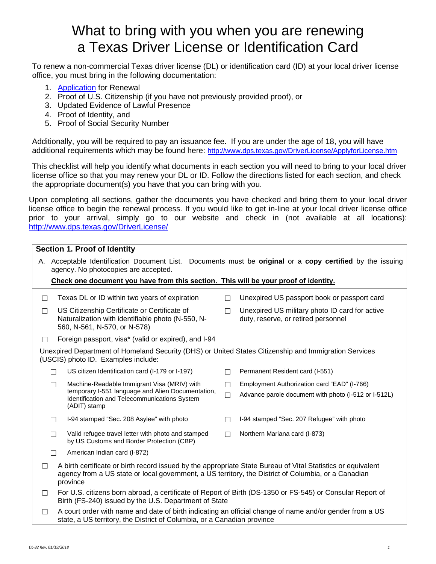## What to bring with you when you are renewing a Texas Driver License or Identification Card

To renew a non-commercial Texas driver license (DL) or identification card (ID) at your local driver license office, you must bring in the following documentation:

- 1. [Application](https://www.dps.texas.gov/internetforms/Forms/DL-14A.pdf) for Renewal
- 2. Proof of U.S. Citizenship (if you have not previously provided proof), or
- 3. Updated Evidence of Lawful Presence
- 4. Proof of Identity, and
- 5. Proof of Social Security Number

Additionally, you will be required to pay an issuance fee. If you are under the age of 18, you will have additional requirements which may be found here: <http://www.dps.texas.gov/DriverLicense/ApplyforLicense.htm>

This checklist will help you identify what documents in each section you will need to bring to your local driver license office so that you may renew your DL or ID. Follow the directions listed for each section, and check the appropriate document(s) you have that you can bring with you.

Upon completing all sections, gather the documents you have checked and bring them to your local driver license office to begin the renewal process. If you would like to get in-line at your local driver license office prior to your arrival, simply go to our website and check in (not available at all locations): <http://www.dps.texas.gov/DriverLicense/>

| <b>Section 1. Proof of Identity</b>                                                                                                                                                                                                        |                                                                                                                                                                    |  |  |  |  |
|--------------------------------------------------------------------------------------------------------------------------------------------------------------------------------------------------------------------------------------------|--------------------------------------------------------------------------------------------------------------------------------------------------------------------|--|--|--|--|
| A. Acceptable Identification Document List. Documents must be original or a copy certified by the issuing<br>agency. No photocopies are accepted.                                                                                          |                                                                                                                                                                    |  |  |  |  |
| Check one document you have from this section. This will be your proof of identity.                                                                                                                                                        |                                                                                                                                                                    |  |  |  |  |
| Texas DL or ID within two years of expiration<br>$\Box$                                                                                                                                                                                    | Unexpired US passport book or passport card                                                                                                                        |  |  |  |  |
| US Citizenship Certificate or Certificate of<br>□<br>Naturalization with identifiable photo (N-550, N-<br>560, N-561, N-570, or N-578)                                                                                                     | Unexpired US military photo ID card for active<br>П<br>duty, reserve, or retired personnel                                                                         |  |  |  |  |
| Foreign passport, visa* (valid or expired), and I-94<br>П                                                                                                                                                                                  |                                                                                                                                                                    |  |  |  |  |
| Unexpired Department of Homeland Security (DHS) or United States Citizenship and Immigration Services<br>(USCIS) photo ID. Examples include:                                                                                               |                                                                                                                                                                    |  |  |  |  |
| US citizen Identification card (I-179 or I-197)                                                                                                                                                                                            | Permanent Resident card (I-551)                                                                                                                                    |  |  |  |  |
| Machine-Readable Immigrant Visa (MRIV) with<br>П                                                                                                                                                                                           | Employment Authorization card "EAD" (I-766)<br>П                                                                                                                   |  |  |  |  |
| temporary I-551 language and Alien Documentation,<br>Identification and Telecommunications System<br>(ADIT) stamp                                                                                                                          | Advance parole document with photo (I-512 or I-512L)                                                                                                               |  |  |  |  |
| I-94 stamped "Sec. 208 Asylee" with photo<br>П                                                                                                                                                                                             | I-94 stamped "Sec. 207 Refugee" with photo                                                                                                                         |  |  |  |  |
| Valid refugee travel letter with photo and stamped<br>П<br>by US Customs and Border Protection (CBP)                                                                                                                                       | Northern Mariana card (I-873)                                                                                                                                      |  |  |  |  |
| American Indian card (I-872)<br>П                                                                                                                                                                                                          |                                                                                                                                                                    |  |  |  |  |
| A birth certificate or birth record issued by the appropriate State Bureau of Vital Statistics or equivalent<br>$\perp$<br>agency from a US state or local government, a US territory, the District of Columbia, or a Canadian<br>province |                                                                                                                                                                    |  |  |  |  |
| $\Box$                                                                                                                                                                                                                                     | For U.S. citizens born abroad, a certificate of Report of Birth (DS-1350 or FS-545) or Consular Report of<br>Birth (FS-240) issued by the U.S. Department of State |  |  |  |  |
| A court order with name and date of birth indicating an official change of name and/or gender from a US<br>П<br>state, a US territory, the District of Columbia, or a Canadian province                                                    |                                                                                                                                                                    |  |  |  |  |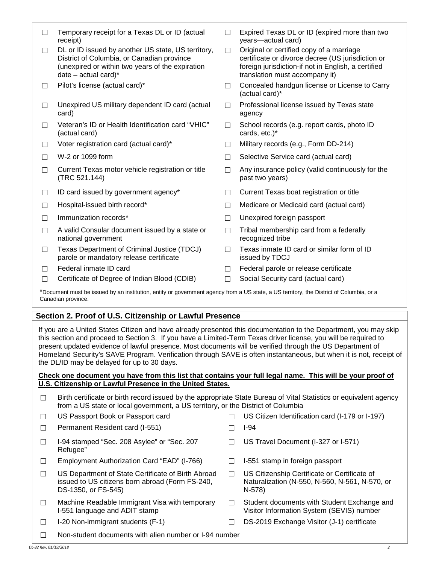☐ Temporary receipt for a Texas DL or ID (actual receipt) ☐ Expired Texas DL or ID (expired more than two years—actual card) ☐ DL or ID issued by another US state, US territory, District of Columbia, or Canadian province (unexpired or within two years of the expiration date – actual card) $*$ ☐ Original or certified copy of a marriage certificate or divorce decree (US jurisdiction or foreign jurisdiction-if not in English, a certified translation must accompany it) ☐ Pilot's license (actual card)\* ☐ Concealed handgun license or License to Carry (actual card)\* ☐ Unexpired US military dependent ID card (actual card) ☐ Professional license issued by Texas state agency ☐ Veteran's ID or Health Identification card "VHIC" (actual card) ☐ School records (e.g. report cards, photo ID cards, etc.)\* ☐ Voter registration card (actual card)\* ☐ Military records (e.g., Form DD-214) ☐ W-2 or 1099 form ☐ Selective Service card (actual card) ☐ Current Texas motor vehicle registration or title (TRC 521.144)  $\Box$  Any insurance policy (valid continuously for the past two years) ☐ ID card issued by government agency\* ☐ Current Texas boat registration or title ☐ Hospital-issued birth record\* ☐ Medicare or Medicaid card (actual card) ☐ Immunization records\* ☐ Unexpired foreign passport ☐ A valid Consular document issued by a state or national government  $\Box$  Tribal membership card from a federally recognized tribe ☐ Texas Department of Criminal Justice (TDCJ) parole or mandatory release certificate ☐ Texas inmate ID card or similar form of ID issued by TDCJ ☐ Federal inmate ID card ☐ Federal parole or release certificate ☐ Certificate of Degree of Indian Blood (CDIB) ☐ Social Security card (actual card) \*Document must be issued by an institution, entity or government agency from a US state, a US territory, the District of Columbia, or a Canadian province.

## **Section 2. Proof of U.S. Citizenship or Lawful Presence**

If you are a United States Citizen and have already presented this documentation to the Department, you may skip this section and proceed to Section 3. If you have a Limited-Term Texas driver license, you will be required to present updated evidence of lawful presence. Most documents will be verified through the US Department of Homeland Security's SAVE Program. Verification through SAVE is often instantaneous, but when it is not, receipt of the DL/ID may be delayed for up to 30 days.

## **Check one document you have from this list that contains your full legal name. This will be your proof of U.S. Citizenship or Lawful Presence in the United States.**

|                       | Birth certificate or birth record issued by the appropriate State Bureau of Vital Statistics or equivalent agency<br>from a US state or local government, a US territory, or the District of Columbia |        |                                                                                                          |  |
|-----------------------|-------------------------------------------------------------------------------------------------------------------------------------------------------------------------------------------------------|--------|----------------------------------------------------------------------------------------------------------|--|
|                       | US Passport Book or Passport card                                                                                                                                                                     |        | US Citizen Identification card (I-179 or I-197)                                                          |  |
| $\Box$                | Permanent Resident card (I-551)                                                                                                                                                                       |        | $I-94$                                                                                                   |  |
|                       | I-94 stamped "Sec. 208 Asylee" or "Sec. 207<br>Refugee"                                                                                                                                               |        | US Travel Document (I-327 or I-571)                                                                      |  |
|                       | Employment Authorization Card "EAD" (I-766)                                                                                                                                                           |        | I-551 stamp in foreign passport                                                                          |  |
|                       | US Department of State Certificate of Birth Abroad<br>issued to US citizens born abroad (Form FS-240,<br>DS-1350, or FS-545)                                                                          | П      | US Citizenship Certificate or Certificate of<br>Naturalization (N-550, N-560, N-561, N-570, or<br>N-578) |  |
|                       | Machine Readable Immigrant Visa with temporary<br>I-551 language and ADIT stamp                                                                                                                       | $\Box$ | Student documents with Student Exchange and<br>Visitor Information System (SEVIS) number                 |  |
| $\Box$                | I-20 Non-immigrant students (F-1)                                                                                                                                                                     |        | DS-2019 Exchange Visitor (J-1) certificate                                                               |  |
|                       | Non-student documents with alien number or I-94 number                                                                                                                                                |        |                                                                                                          |  |
| DL-32 Rev. 01/19/2018 |                                                                                                                                                                                                       |        | 2                                                                                                        |  |